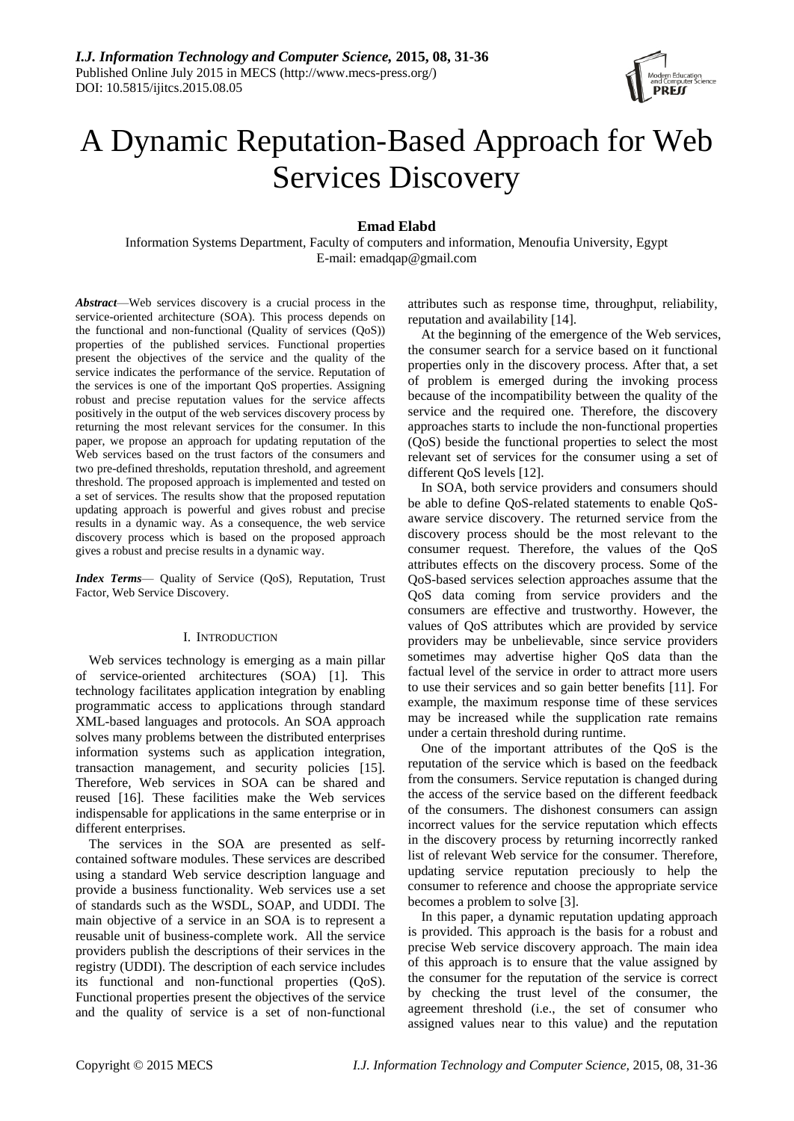

# A Dynamic Reputation-Based Approach for Web Services Discovery

**Emad Elabd**

Information Systems Department, Faculty of computers and information, Menoufia University, Egypt E-mail: [emadqap@gmail.com](mailto:emadqap@gmail.com)

*Abstract*—Web services discovery is a crucial process in the service-oriented architecture (SOA). This process depends on the functional and non-functional (Quality of services (QoS)) properties of the published services. Functional properties present the objectives of the service and the quality of the service indicates the performance of the service. Reputation of the services is one of the important QoS properties. Assigning robust and precise reputation values for the service affects positively in the output of the web services discovery process by returning the most relevant services for the consumer. In this paper, we propose an approach for updating reputation of the Web services based on the trust factors of the consumers and two pre-defined thresholds, reputation threshold, and agreement threshold. The proposed approach is implemented and tested on a set of services. The results show that the proposed reputation updating approach is powerful and gives robust and precise results in a dynamic way. As a consequence, the web service discovery process which is based on the proposed approach gives a robust and precise results in a dynamic way.

*Index Terms*— Quality of Service (QoS), Reputation, Trust Factor, Web Service Discovery.

# I. INTRODUCTION

Web services technology is emerging as a main pillar of service-oriented architectures (SOA) [1]. This technology facilitates application integration by enabling programmatic access to applications through standard XML-based languages and protocols. An SOA approach solves many problems between the distributed enterprises information systems such as application integration, transaction management, and security policies [15]. Therefore, Web services in SOA can be shared and reused [16]. These facilities make the Web services indispensable for applications in the same enterprise or in different enterprises.

The services in the SOA are presented as selfcontained software modules. These services are described using a standard Web service description language and provide a business functionality. Web services use a set of standards such as the WSDL, SOAP, and UDDI. The main objective of a service in an SOA is to represent a reusable unit of business-complete work. All the service providers publish the descriptions of their services in the registry (UDDI). The description of each service includes its functional and non-functional properties (QoS). Functional properties present the objectives of the service and the quality of service is a set of non-functional attributes such as response time, throughput, reliability, reputation and availability [14].

At the beginning of the emergence of the Web services, the consumer search for a service based on it functional properties only in the discovery process. After that, a set of problem is emerged during the invoking process because of the incompatibility between the quality of the service and the required one. Therefore, the discovery approaches starts to include the non-functional properties (QoS) beside the functional properties to select the most relevant set of services for the consumer using a set of different QoS levels [12].

In SOA, both service providers and consumers should be able to define QoS-related statements to enable QoSaware service discovery. The returned service from the discovery process should be the most relevant to the consumer request. Therefore, the values of the QoS attributes effects on the discovery process. Some of the QoS-based services selection approaches assume that the QoS data coming from service providers and the consumers are effective and trustworthy. However, the values of QoS attributes which are provided by service providers may be unbelievable, since service providers sometimes may advertise higher QoS data than the factual level of the service in order to attract more users to use their services and so gain better benefits [11]. For example, the maximum response time of these services may be increased while the supplication rate remains under a certain threshold during runtime.

One of the important attributes of the QoS is the reputation of the service which is based on the feedback from the consumers. Service reputation is changed during the access of the service based on the different feedback of the consumers. The dishonest consumers can assign incorrect values for the service reputation which effects in the discovery process by returning incorrectly ranked list of relevant Web service for the consumer. Therefore, updating service reputation preciously to help the consumer to reference and choose the appropriate service becomes a problem to solve [3].

In this paper, a dynamic reputation updating approach is provided. This approach is the basis for a robust and precise Web service discovery approach. The main idea of this approach is to ensure that the value assigned by the consumer for the reputation of the service is correct by checking the trust level of the consumer, the agreement threshold (i.e., the set of consumer who assigned values near to this value) and the reputation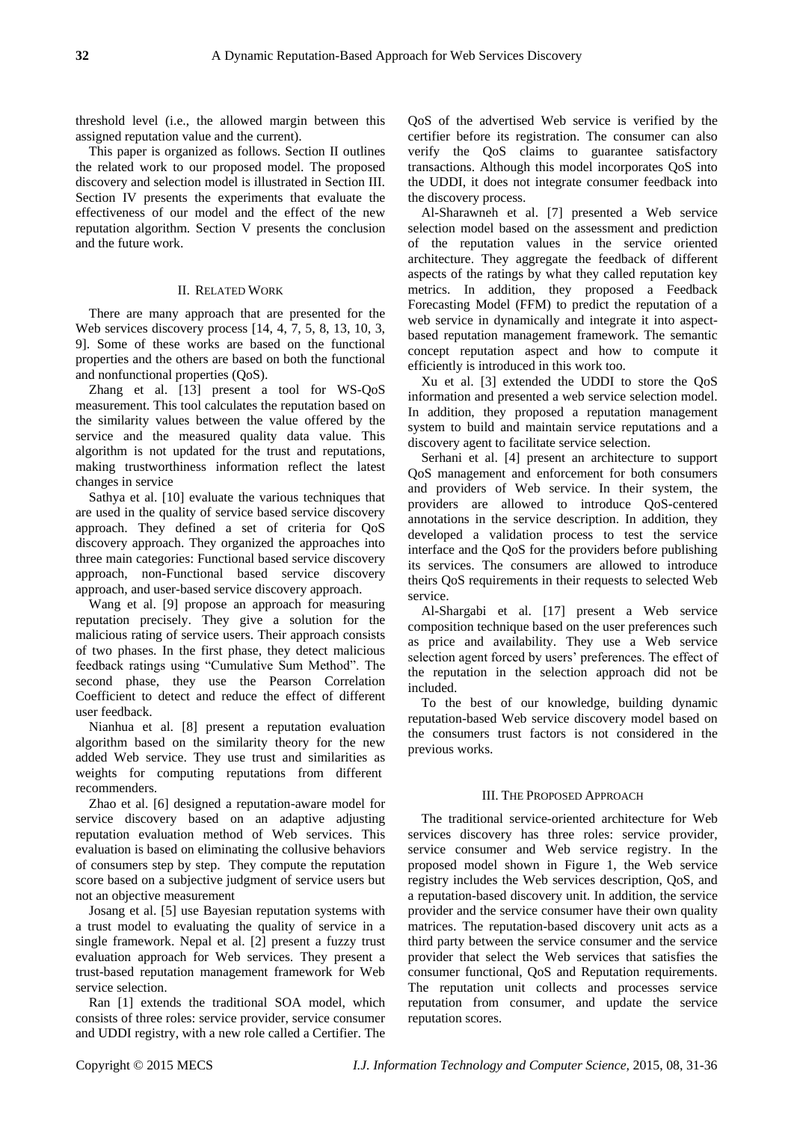threshold level (i.e., the allowed margin between this assigned reputation value and the current).

This paper is organized as follows. Section II outlines the related work to our proposed model. The proposed discovery and selection model is illustrated in Section III. Section IV presents the experiments that evaluate the effectiveness of our model and the effect of the new reputation algorithm. Section V presents the conclusion and the future work.

# II. RELATED WORK

There are many approach that are presented for the Web services discovery process [14, 4, 7, 5, 8, 13, 10, 3, 9]. Some of these works are based on the functional properties and the others are based on both the functional and nonfunctional properties (QoS).

Zhang et al. [13] present a tool for WS-QoS measurement. This tool calculates the reputation based on the similarity values between the value offered by the service and the measured quality data value. This algorithm is not updated for the trust and reputations, making trustworthiness information reflect the latest changes in service

Sathya et al. [10] evaluate the various techniques that are used in the quality of service based service discovery approach. They defined a set of criteria for QoS discovery approach. They organized the approaches into three main categories: Functional based service discovery approach, non-Functional based service discovery approach, and user-based service discovery approach.

Wang et al. [9] propose an approach for measuring reputation precisely. They give a solution for the malicious rating of service users. Their approach consists of two phases. In the first phase, they detect malicious feedback ratings using "Cumulative Sum Method". The second phase, they use the Pearson Correlation Coefficient to detect and reduce the effect of different user feedback.

Nianhua et al. [8] present a reputation evaluation algorithm based on the similarity theory for the new added Web service. They use trust and similarities as weights for computing reputations from different recommenders.

Zhao et al. [6] designed a reputation-aware model for service discovery based on an adaptive adjusting reputation evaluation method of Web services. This evaluation is based on eliminating the collusive behaviors of consumers step by step. They compute the reputation score based on a subjective judgment of service users but not an objective measurement

Josang et al. [5] use Bayesian reputation systems with a trust model to evaluating the quality of service in a single framework. Nepal et al. [2] present a fuzzy trust evaluation approach for Web services. They present a trust-based reputation management framework for Web service selection.

Ran [1] extends the traditional SOA model, which consists of three roles: service provider, service consumer and UDDI registry, with a new role called a Certifier. The

QoS of the advertised Web service is verified by the certifier before its registration. The consumer can also verify the QoS claims to guarantee satisfactory transactions. Although this model incorporates QoS into the UDDI, it does not integrate consumer feedback into the discovery process.

Al-Sharawneh et al. [7] presented a Web service selection model based on the assessment and prediction of the reputation values in the service oriented architecture. They aggregate the feedback of different aspects of the ratings by what they called reputation key metrics. In addition, they proposed a Feedback Forecasting Model (FFM) to predict the reputation of a web service in dynamically and integrate it into aspectbased reputation management framework. The semantic concept reputation aspect and how to compute it efficiently is introduced in this work too.

Xu et al. [3] extended the UDDI to store the QoS information and presented a web service selection model. In addition, they proposed a reputation management system to build and maintain service reputations and a discovery agent to facilitate service selection.

Serhani et al. [4] present an architecture to support QoS management and enforcement for both consumers and providers of Web service. In their system, the providers are allowed to introduce QoS-centered annotations in the service description. In addition, they developed a validation process to test the service interface and the QoS for the providers before publishing its services. The consumers are allowed to introduce theirs QoS requirements in their requests to selected Web service.

Al-Shargabi et al. [17] present a Web service composition technique based on the user preferences such as price and availability. They use a Web service selection agent forced by users' preferences. The effect of the reputation in the selection approach did not be included.

To the best of our knowledge, building dynamic reputation-based Web service discovery model based on the consumers trust factors is not considered in the previous works.

#### III. THE PROPOSED APPROACH

The traditional service-oriented architecture for Web services discovery has three roles: service provider, service consumer and Web service registry. In the proposed model shown in Figure 1, the Web service registry includes the Web services description, QoS, and a reputation-based discovery unit. In addition, the service provider and the service consumer have their own quality matrices. The reputation-based discovery unit acts as a third party between the service consumer and the service provider that select the Web services that satisfies the consumer functional, QoS and Reputation requirements. The reputation unit collects and processes service reputation from consumer, and update the service reputation scores.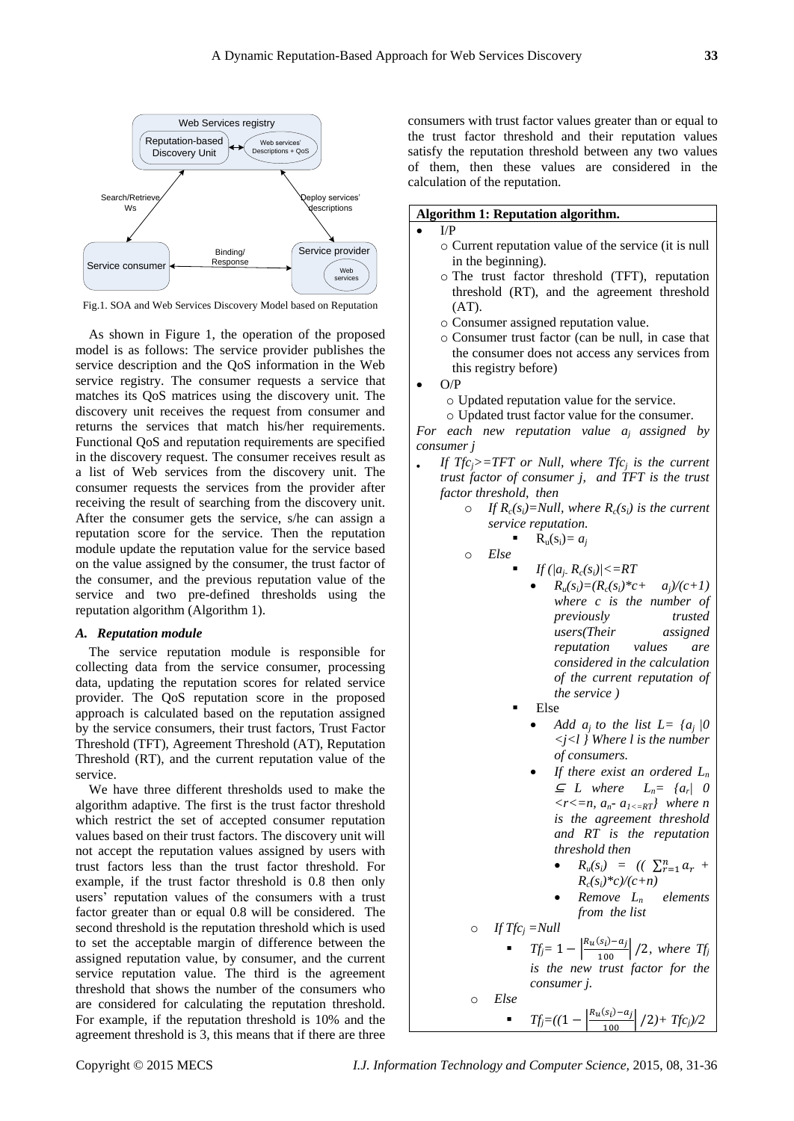

Fig.1. SOA and Web Services Discovery Model based on Reputation

As shown in Figure 1, the operation of the proposed model is as follows: The service provider publishes the service description and the QoS information in the Web service registry. The consumer requests a service that matches its QoS matrices using the discovery unit. The discovery unit receives the request from consumer and returns the services that match his/her requirements. Functional QoS and reputation requirements are specified in the discovery request. The consumer receives result as a list of Web services from the discovery unit. The consumer requests the services from the provider after receiving the result of searching from the discovery unit. After the consumer gets the service, s/he can assign a reputation score for the service. Then the reputation module update the reputation value for the service based on the value assigned by the consumer, the trust factor of the consumer, and the previous reputation value of the service and two pre-defined thresholds using the reputation algorithm (Algorithm 1).

# *A. Reputation module*

The service reputation module is responsible for collecting data from the service consumer, processing data, updating the reputation scores for related service provider. The QoS reputation score in the proposed approach is calculated based on the reputation assigned by the service consumers, their trust factors, Trust Factor Threshold (TFT), Agreement Threshold (AT), Reputation Threshold (RT), and the current reputation value of the service.

We have three different thresholds used to make the algorithm adaptive. The first is the trust factor threshold which restrict the set of accepted consumer reputation values based on their trust factors. The discovery unit will not accept the reputation values assigned by users with trust factors less than the trust factor threshold. For example, if the trust factor threshold is 0.8 then only users' reputation values of the consumers with a trust factor greater than or equal 0.8 will be considered. The second threshold is the reputation threshold which is used to set the acceptable margin of difference between the assigned reputation value, by consumer, and the current service reputation value. The third is the agreement threshold that shows the number of the consumers who are considered for calculating the reputation threshold. For example, if the reputation threshold is 10% and the agreement threshold is 3, this means that if there are three

consumers with trust factor values greater than or equal to the trust factor threshold and their reputation values satisfy the reputation threshold between any two values of them, then these values are considered in the calculation of the reputation.

# **Algorithm 1: Reputation algorithm.**

# $I/P$

- o Current reputation value of the service (it is null in the beginning).
- o The trust factor threshold (TFT), reputation threshold (RT), and the agreement threshold  $(AT)$ .
- o Consumer assigned reputation value.
- o Consumer trust factor (can be null, in case that the consumer does not access any services from this registry before)
- O/P
	- o Updated reputation value for the service.
	- o Updated trust factor value for the consumer.

*For each new reputation value aj assigned by consumer j*

- *If Tfc***<sub>j</sub>**>=TFT or Null, where Tfc<sub>j</sub> is the current *trust factor of consumer j, and TFT is the trust factor threshold, then*
	- $\circ$  *If R<sub>c</sub>*(*s<sub>i</sub>*)=*Null, where R<sub>c</sub>*(*s<sub>i</sub>*) *is the current service reputation.*

$$
\begin{array}{ccc}\n & R_u(s_i) = a_j \\
\circ & Else\n\end{array}
$$

$$
\bullet \qquad \textit{If } (|a_j, R_c(s_i)| < = RT
$$

- $R_u(s_i) = (R_c(s_i)^*c + a_i)/(c+1)$ *where c is the number of previously trusted users(Their assigned reputation values are considered in the calculation of the current reputation of the service )*
- Else
	- *Add a<sub>i</sub> to the list*  $L = \{a_i | 0$ *<j<l } Where l is the number of consumers.*
	- *If there exist an ordered L<sup>n</sup>* <sup>⊆</sup> *L where Ln= {a<sup>r</sup> | 0*   $\langle r \langle n, a_n \rangle a_{1\langle n]} a_{1\langle n]} \rangle$  where *n is the agreement threshold and RT is the reputation threshold then*
		- $R_u(s_i) = ((\sum_{r=1}^n a_r +$  $R_c(s_i) * c \sqrt{(c+n)}$
		- *Remove Ln elements from the list*

<sup>|</sup>*)+ Tfcj)/2*

$$
\circ \quad \textit{If } T f c_j = Null
$$

*Tf***<sub>j</sub>** $= 1 - \left| \frac{R_u(s_i) - a_j}{100} \right| / 2$ , where *Tf*<sub>*j*</sub> *is the new trust factor for the consumer j.*

> $R_{11}(s)$  $) -$

o *Else*

 $Tf_i = ((1$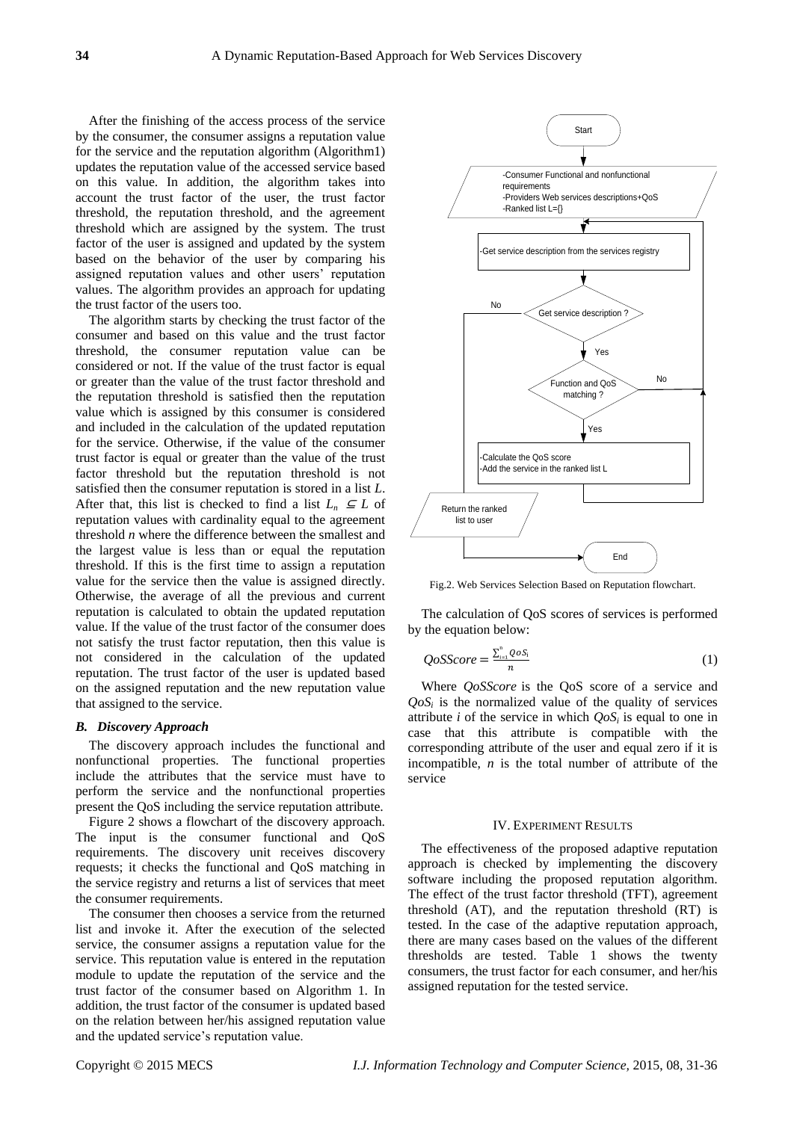After the finishing of the access process of the service by the consumer, the consumer assigns a reputation value for the service and the reputation algorithm (Algorithm1) updates the reputation value of the accessed service based on this value. In addition, the algorithm takes into account the trust factor of the user, the trust factor threshold, the reputation threshold, and the agreement threshold which are assigned by the system. The trust factor of the user is assigned and updated by the system based on the behavior of the user by comparing his assigned reputation values and other users' reputation values. The algorithm provides an approach for updating the trust factor of the users too.

The algorithm starts by checking the trust factor of the consumer and based on this value and the trust factor threshold, the consumer reputation value can be considered or not. If the value of the trust factor is equal or greater than the value of the trust factor threshold and the reputation threshold is satisfied then the reputation value which is assigned by this consumer is considered and included in the calculation of the updated reputation for the service. Otherwise, if the value of the consumer trust factor is equal or greater than the value of the trust factor threshold but the reputation threshold is not satisfied then the consumer reputation is stored in a list *L*. After that, this list is checked to find a list  $L_n \subseteq L$  of reputation values with cardinality equal to the agreement threshold *n* where the difference between the smallest and the largest value is less than or equal the reputation threshold. If this is the first time to assign a reputation value for the service then the value is assigned directly. Otherwise, the average of all the previous and current reputation is calculated to obtain the updated reputation value. If the value of the trust factor of the consumer does not satisfy the trust factor reputation, then this value is not considered in the calculation of the updated reputation. The trust factor of the user is updated based on the assigned reputation and the new reputation value that assigned to the service.

#### *B. Discovery Approach*

The discovery approach includes the functional and nonfunctional properties. The functional properties include the attributes that the service must have to perform the service and the nonfunctional properties present the QoS including the service reputation attribute.

Figure 2 shows a flowchart of the discovery approach. The input is the consumer functional and QoS requirements. The discovery unit receives discovery requests; it checks the functional and QoS matching in the service registry and returns a list of services that meet the consumer requirements.

The consumer then chooses a service from the returned list and invoke it. After the execution of the selected service, the consumer assigns a reputation value for the service. This reputation value is entered in the reputation module to update the reputation of the service and the trust factor of the consumer based on Algorithm 1. In addition, the trust factor of the consumer is updated based on the relation between her/his assigned reputation value and the updated service's reputation value.



Fig.2. Web Services Selection Based on Reputation flowchart.

The calculation of QoS scores of services is performed by the equation below:

$$
QoSScore = \frac{\sum_{i=1}^{n} QoS_{i}}{n}
$$
 (1)

Where *QoSScore* is the QoS score of a service and  $QoS<sub>i</sub>$  is the normalized value of the quality of services attribute *i* of the service in which  $Q_0S_i$  is equal to one in case that this attribute is compatible with the corresponding attribute of the user and equal zero if it is incompatible, *n* is the total number of attribute of the service

#### IV. EXPERIMENT RESULTS

The effectiveness of the proposed adaptive reputation approach is checked by implementing the discovery software including the proposed reputation algorithm. The effect of the trust factor threshold (TFT), agreement threshold (AT), and the reputation threshold (RT) is tested. In the case of the adaptive reputation approach, there are many cases based on the values of the different thresholds are tested. Table 1 shows the twenty consumers, the trust factor for each consumer, and her/his assigned reputation for the tested service.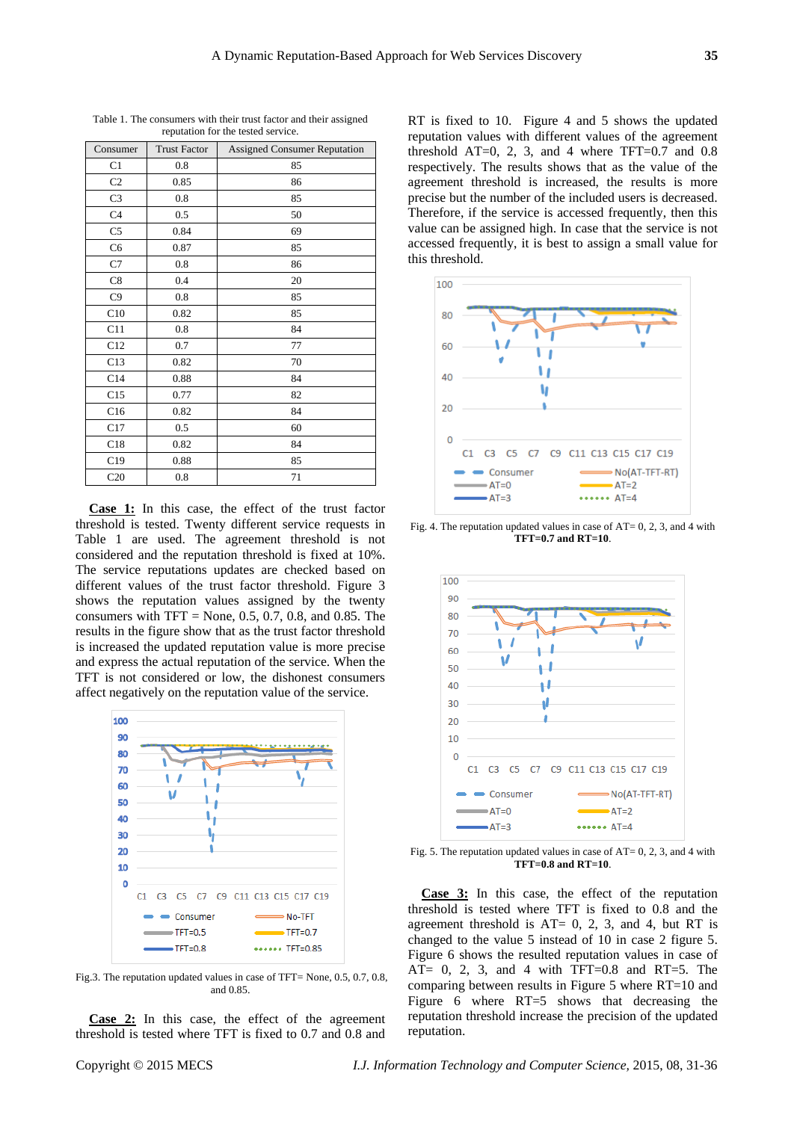| Consumer       | <b>Trust Factor</b> | <b>Assigned Consumer Reputation</b> |
|----------------|---------------------|-------------------------------------|
| C1             | 0.8                 | 85                                  |
| C <sub>2</sub> | 0.85                | 86                                  |
| C <sub>3</sub> | 0.8                 | 85                                  |
| C <sub>4</sub> | 0.5                 | 50                                  |
| C5             | 0.84                | 69                                  |
| C <sub>6</sub> | 0.87                | 85                                  |
| C7             | 0.8                 | 86                                  |
| C8             | 0.4                 | 20                                  |
| C9             | 0.8                 | 85                                  |
| C10            | 0.82                | 85                                  |
| C11            | 0.8                 | 84                                  |
| C12            | 0.7                 | 77                                  |
| C13            | 0.82                | 70                                  |
| C14            | 0.88                | 84                                  |
| C15            | 0.77                | 82                                  |
| C16            | 0.82                | 84                                  |
| C17            | 0.5                 | 60                                  |
| C18            | 0.82                | 84                                  |
| C19            | 0.88                | 85                                  |
| C20            | 0.8                 | 71                                  |

Table 1. The consumers with their trust factor and their assigned reputation for the tested service.

**Case 1:** In this case, the effect of the trust factor threshold is tested. Twenty different service requests in Table 1 are used. The agreement threshold is not considered and the reputation threshold is fixed at 10%. The service reputations updates are checked based on different values of the trust factor threshold. Figure 3 shows the reputation values assigned by the twenty consumers with  $TFT = None$ , 0.5, 0.7, 0.8, and 0.85. The results in the figure show that as the trust factor threshold is increased the updated reputation value is more precise and express the actual reputation of the service. When the TFT is not considered or low, the dishonest consumers affect negatively on the reputation value of the service.



Fig.3. The reputation updated values in case of TFT= None, 0.5, 0.7, 0.8, and 0.85.

**Case 2:** In this case, the effect of the agreement threshold is tested where TFT is fixed to 0.7 and 0.8 and RT is fixed to 10. Figure 4 and 5 shows the updated reputation values with different values of the agreement threshold  $AT=0$ , 2, 3, and 4 where  $TFT=0.7$  and 0.8 respectively. The results shows that as the value of the agreement threshold is increased, the results is more precise but the number of the included users is decreased. Therefore, if the service is accessed frequently, then this value can be assigned high. In case that the service is not accessed frequently, it is best to assign a small value for this threshold.



Fig. 4. The reputation updated values in case of AT= 0, 2, 3, and 4 with **TFT=0.7 and RT=10**.



Fig. 5. The reputation updated values in case of AT= 0, 2, 3, and 4 with **TFT=0.8 and RT=10**.

**Case 3:** In this case, the effect of the reputation threshold is tested where TFT is fixed to 0.8 and the agreement threshold is  $AT = 0$ , 2, 3, and 4, but RT is changed to the value 5 instead of 10 in case 2 figure 5. Figure 6 shows the resulted reputation values in case of AT= 0, 2, 3, and 4 with TFT=0.8 and RT=5. The comparing between results in Figure 5 where RT=10 and Figure 6 where RT=5 shows that decreasing the reputation threshold increase the precision of the updated reputation.